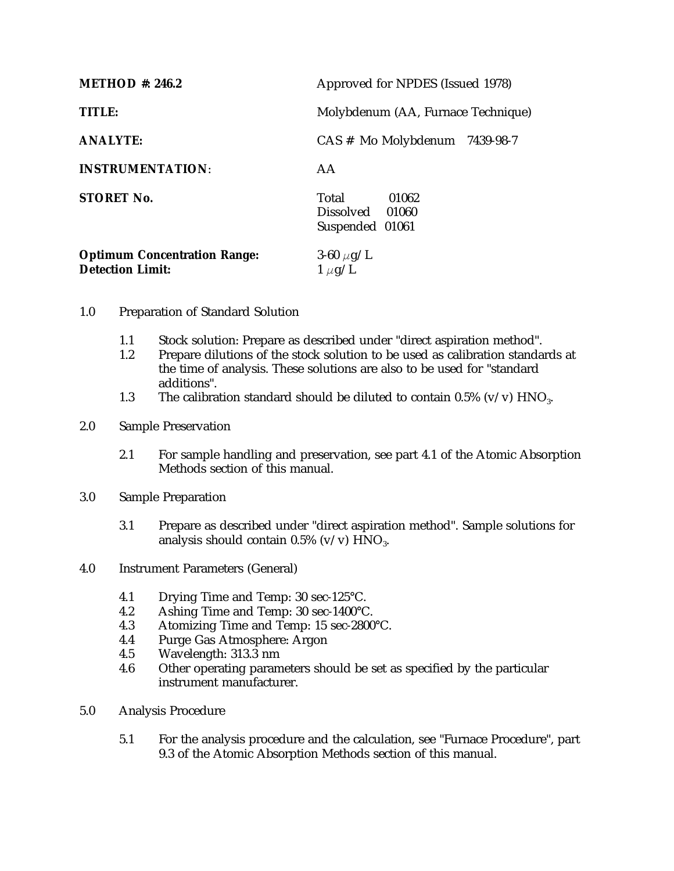| <b>METHOD</b> #: 246.2                                         | Approved for NPDES (Issued 1978)                     |
|----------------------------------------------------------------|------------------------------------------------------|
| <b>TITLE:</b>                                                  | Molybdenum (AA, Furnace Technique)                   |
| <b>ANALYTE:</b>                                                | $CAS$ # Mo Molybdenum $7439-98-7$                    |
| <b>INSTRUMENTATION:</b>                                        | AA                                                   |
| <b>STORET No.</b>                                              | Total<br>01062<br>Dissolved 01060<br>Suspended 01061 |
| <b>Optimum Concentration Range:</b><br><b>Detection Limit:</b> | 3-60 $\mu$ g/L<br>$1 \mu g/L$                        |

- 1.0 Preparation of Standard Solution
	- 1.1 Stock solution: Prepare as described under "direct aspiration method".<br>1.2 Prepare dilutions of the stock solution to be used as calibration standa
	- Prepare dilutions of the stock solution to be used as calibration standards at the time of analysis. These solutions are also to be used for "standard additions".
	- 1.3 The calibration standard should be diluted to contain 0.5% (v/v)  $HNO<sub>3</sub>$ .
- 2.0 Sample Preservation
	- 2.1 For sample handling and preservation, see part 4.1 of the Atomic Absorption Methods section of this manual.
- 3.0 Sample Preparation
	- 3.1 Prepare as described under "direct aspiration method". Sample solutions for analysis should contain  $0.5\%$  (v/v)  $HNO<sub>3</sub>$ .
- 4.0 Instrument Parameters (General)
	-
	- 4.1 Drying Time and Temp: 30 sec-125°C.<br>4.2 Ashing Time and Temp: 30 sec-1400°C Ashing Time and Temp: 30 sec-1400°C.
	- 4.3 Atomizing Time and Temp: 15 sec-2800°C.
	- 4.4 Purge Gas Atmosphere: Argon
	- 4.5 Wavelength: 313.3 nm<br>4.6 Other operating param
	- Other operating parameters should be set as specified by the particular instrument manufacturer.
- 5.0 Analysis Procedure
	- 5.1 For the analysis procedure and the calculation, see "Furnace Procedure", part 9.3 of the Atomic Absorption Methods section of this manual.